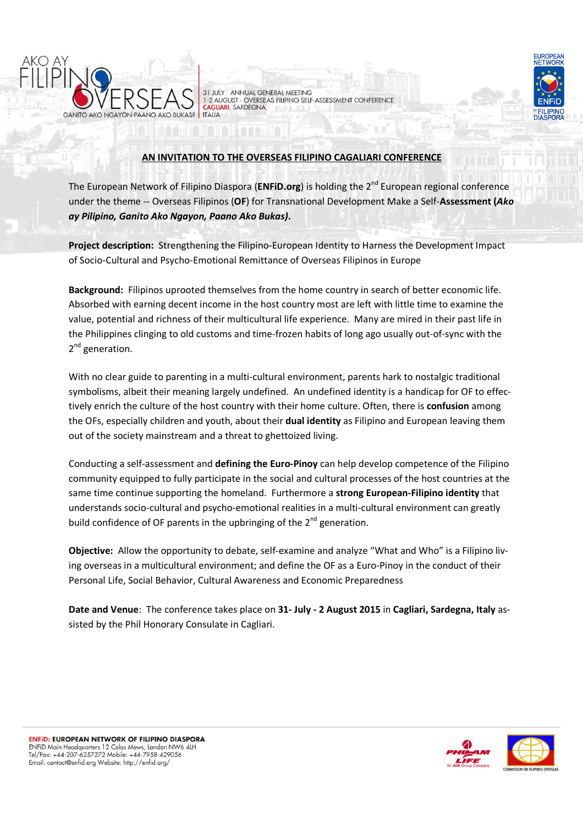



31 JULY - ANNUAL GENERAL MEETING<br>1-2 AUGUST - OVERSEAS FILIPINO SELF-ASSESSMENT CONFERENCE **CAGLIARI**, SARDEGNA **ITALIA** 

# AN INVITATION TO THE OVERSEAS FILIPINO CAGALIARI CONFERENCE

The European Network of Filipino Diaspora (ENFID.org) is holding the  $2^{nd}$  European regional conference under the theme -- Overseas Filipinos (OF) for Transnational Development Make a Self-Assessment (Ako ay Pilipino, Ganito Ako Ngayon, Paano Ako Bukas).

Project description: Strengthening the Filipino-European Identity to Harness the Development Impact of Socio-Cultural and Psycho-Emotional Remittance of Overseas Filipinos in Europe

Background: Filipinos uprooted themselves from the home country in search of better economic life. Absorbed with earning decent income in the host country most are left with little time to examine the value, potential and richness of their multicultural life experience. Many are mired in their past life in the Philippines clinging to old customs and time-frozen habits of long ago usually out-of-sync with the 2<sup>nd</sup> generation.

With no clear guide to parenting in a multi-cultural environment, parents hark to nostalgic traditional symbolisms, albeit their meaning largely undefined. An undefined identity is a handicap for OF to effectively enrich the culture of the host country with their home culture. Often, there is **confusion** among the OFs, especially children and youth, about their dual identity as Filipino and European leaving them out of the society mainstream and a threat to ghettoized living.

Conducting a self-assessment and defining the Euro-Pinoy can help develop competence of the Filipino community equipped to fully participate in the social and cultural processes of the host countries at the same time continue supporting the homeland. Furthermore a strong European-Filipino identity that understands socio-cultural and psycho-emotional realities in a multi-cultural environment can greatly build confidence of OF parents in the upbringing of the 2<sup>nd</sup> generation.

Objective: Allow the opportunity to debate, self-examine and analyze "What and Who" is a Filipino living overseas in a multicultural environment; and define the OF as a Euro-Pinoy in the conduct of their Personal Life, Social Behavior, Cultural Awareness and Economic Preparedness

Date and Venue: The conference takes place on 31- July - 2 August 2015 in Cagliari, Sardegna, Italy assisted by the Phil Honorary Consulate in Cagliari.

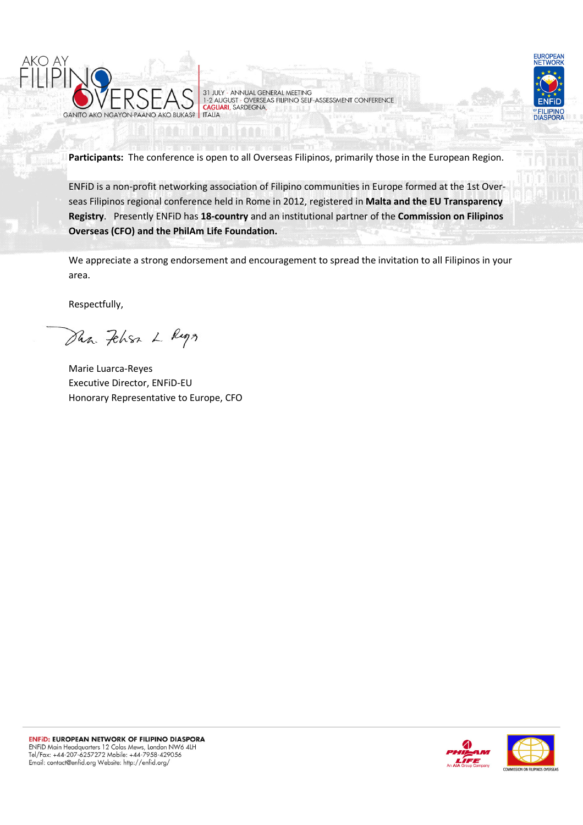

31 JULY - ANNUAL GENERAL MEETING<br>1-2 AUGUST - OVERSEAS FILIPINO SELF-ASSESSMENT CONFERENCE<br>CAGLIARI, SARDEGNA, **ITALIA** 



Participants: The conference is open to all Overseas Filipinos, primarily those in the European Region.

ENFiD is a non-profit networking association of Filipino communities in Europe formed at the 1st Overseas Filipinos regional conference held in Rome in 2012, registered in Malta and the EU Transparency Registry. Presently ENFiD has 18-country and an institutional partner of the Commission on Filipinos Overseas (CFO) and the PhilAm Life Foundation.

We appreciate a strong endorsement and encouragement to spread the invitation to all Filipinos in your area.

Respectfully,

Dun. Fehren L Ruga

Marie Luarca-Reyes Executive Director, ENFiD-EU Honorary Representative to Europe, CFO

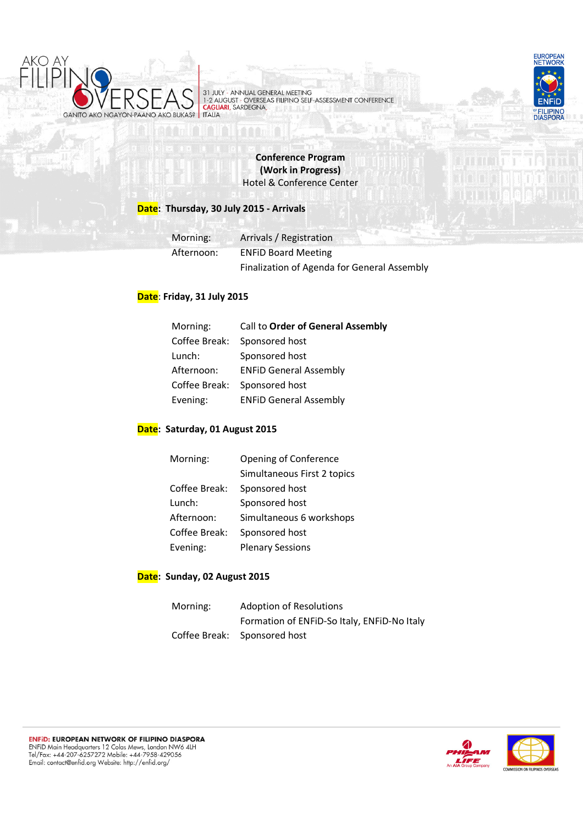

31 JULY - ANNUAL GENERAL MEETING<br>1-2 AUGUST - OVERSEAS FILIPINO SELF-ASSESSMENT CONFERENCE<br>CAGILIARI, SARDEGNA, **ITALIA** 



Conference Program (Work in Progress) Hotel & Conference Center

## Date: Thursday, 30 July 2015 - Arrivals

|  | Morning:   | Arrivals / Registration                     |  |
|--|------------|---------------------------------------------|--|
|  | Afternoon: | <b>ENFID Board Meeting</b>                  |  |
|  |            | Finalization of Agenda for General Assembly |  |

## Date: Friday, 31 July 2015

| Morning:   |               | Call to Order of General Assembly |
|------------|---------------|-----------------------------------|
|            | Coffee Break: | Sponsored host                    |
| Lunch:     |               | Sponsored host                    |
| Afternoon: |               | <b>ENFID General Assembly</b>     |
|            | Coffee Break: | Sponsored host                    |
| Evening:   |               | <b>ENFID General Assembly</b>     |

#### Date: Saturday, 01 August 2015

| Morning:      | Opening of Conference       |
|---------------|-----------------------------|
|               | Simultaneous First 2 topics |
| Coffee Break: | Sponsored host              |
| Lunch:        | Sponsored host              |
| Afternoon:    | Simultaneous 6 workshops    |
| Coffee Break: | Sponsored host              |
| Evening:      | <b>Plenary Sessions</b>     |

#### Date: Sunday, 02 August 2015

| Morning: | <b>Adoption of Resolutions</b>              |  |
|----------|---------------------------------------------|--|
|          | Formation of ENFID-So Italy, ENFID-No Italy |  |
|          | Coffee Break: Sponsored host                |  |